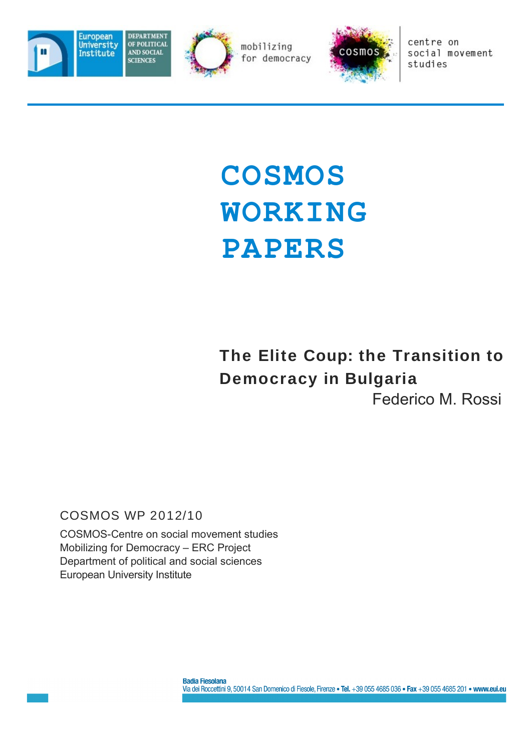





centre on social movement studies

# **COSMOS WORKING PAPERS**

## **The Elite Coup: the Transition to Democracy in Bulgaria** Federico M. Rossi

#### COSMOS WP 2012/10

COSMOS-Centre on social movement studies Mobilizing for Democracy – ERC Project Department of political and social sciences European University Institute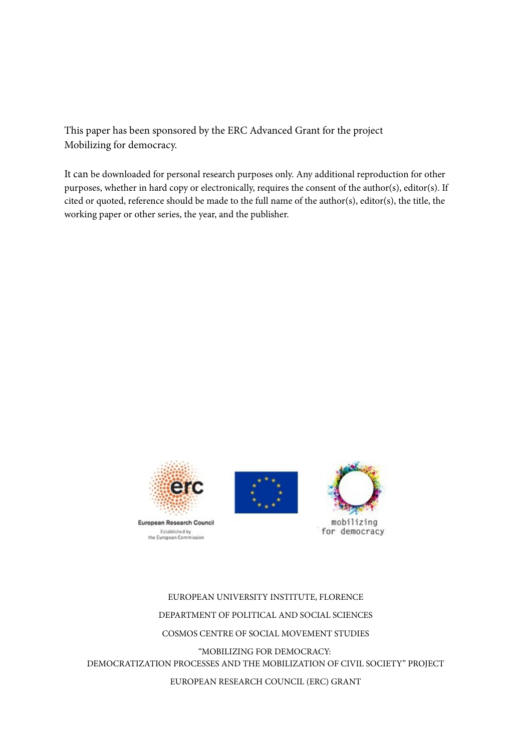This paper has been sponsored by the ERC Advanced Grant for the project Mobilizing for democracy.

It can be downloaded for personal research purposes only. Any additional reproduction for other purposes, whether in hard copy or electronically, requires the consent of the author(s), editor(s). If cited or quoted, reference should be made to the full name of the author(s), editor(s), the title, the working paper or other series, the year, and the publisher.



Established by<br>the European Cemmission





EUROPEAN UNIVERSITY INSTITUTE, FLORENCE DEPARTMENT OF POLITICAL AND SOCIAL SCIENCES COSMOS CENTRE OF SOCIAL MOVEMENT STUDIES "MOBILIZING FOR DEMOCRACY: DEMOCRATIZATION PROCESSES AND THE MOBILIZATION OF CIVIL SOCIETY" PROJECT EUROPEAN RESEARCH COUNCIL (ERC) GRANT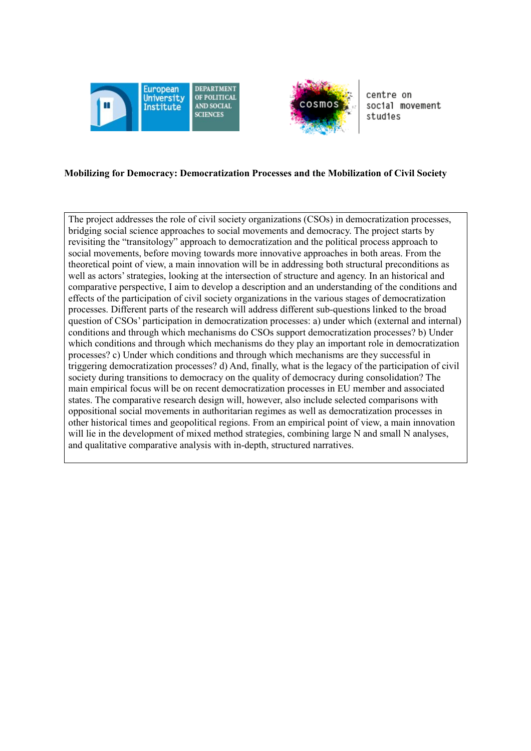



centre on social movement studies

#### **Mobilizing for Democracy: Democratization Processes and the Mobilization of Civil Society**

The project addresses the role of civil society organizations (CSOs) in democratization processes, bridging social science approaches to social movements and democracy. The project starts by revisiting the "transitology" approach to democratization and the political process approach to social movements, before moving towards more innovative approaches in both areas. From the theoretical point of view, a main innovation will be in addressing both structural preconditions as well as actors' strategies, looking at the intersection of structure and agency. In an historical and comparative perspective, I aim to develop a description and an understanding of the conditions and effects of the participation of civil society organizations in the various stages of democratization processes. Different parts of the research will address different sub-questions linked to the broad question of CSOs' participation in democratization processes: a) under which (external and internal) conditions and through which mechanisms do CSOs support democratization processes? b) Under which conditions and through which mechanisms do they play an important role in democratization processes? c) Under which conditions and through which mechanisms are they successful in triggering democratization processes? d) And, finally, what is the legacy of the participation of civil society during transitions to democracy on the quality of democracy during consolidation? The main empirical focus will be on recent democratization processes in EU member and associated states. The comparative research design will, however, also include selected comparisons with oppositional social movements in authoritarian regimes as well as democratization processes in other historical times and geopolitical regions. From an empirical point of view, a main innovation will lie in the development of mixed method strategies, combining large N and small N analyses, and qualitative comparative analysis with in-depth, structured narratives.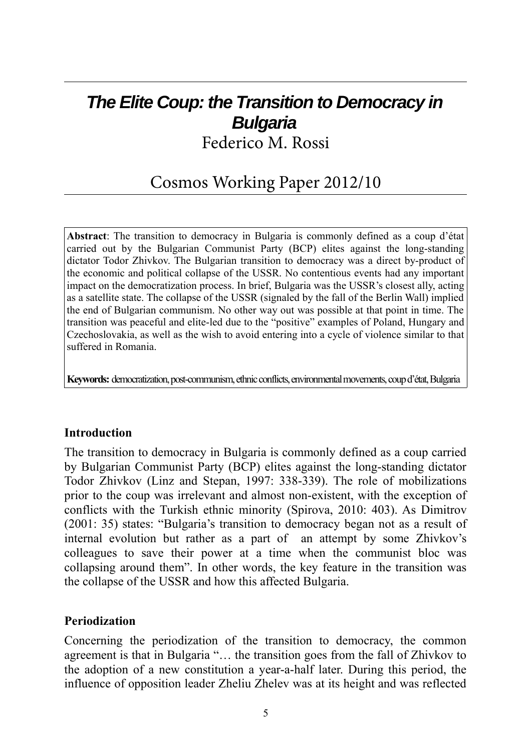# **The Elite Coup: the Transition to Democracy in Bulgaria**

Federico M. Rossi

### Cosmos Working Paper 2012/10

**Abstract**: The transition to democracy in Bulgaria is commonly defined as a coup d'état carried out by the Bulgarian Communist Party (BCP) elites against the long-standing dictator Todor Zhivkov. The Bulgarian transition to democracy was a direct by-product of the economic and political collapse of the USSR. No contentious events had any important impact on the democratization process. In brief, Bulgaria was the USSR's closest ally, acting as a satellite state. The collapse of the USSR (signaled by the fall of the Berlin Wall) implied the end of Bulgarian communism. No other way out was possible at that point in time. The transition was peaceful and elite-led due to the "positive" examples of Poland, Hungary and Czechoslovakia, as well as the wish to avoid entering into a cycle of violence similar to that suffered in Romania.

**Keywords:** democratization, post-communism, ethnic conflicts, environmental movements, coup d'état, Bulgaria

#### **Introduction**

The transition to democracy in Bulgaria is commonly defined as a coup carried by Bulgarian Communist Party (BCP) elites against the long-standing dictator Todor Zhivkov (Linz and Stepan, 1997: 338-339). The role of mobilizations prior to the coup was irrelevant and almost non-existent, with the exception of conflicts with the Turkish ethnic minority (Spirova, 2010: 403). As Dimitrov (2001: 35) states: "Bulgaria's transition to democracy began not as a result of internal evolution but rather as a part of an attempt by some Zhivkov's colleagues to save their power at a time when the communist bloc was collapsing around them". In other words, the key feature in the transition was the collapse of the USSR and how this affected Bulgaria.

#### **Periodization**

Concerning the periodization of the transition to democracy, the common agreement is that in Bulgaria "… the transition goes from the fall of Zhivkov to the adoption of a new constitution a year-a-half later. During this period, the influence of opposition leader Zheliu Zhelev was at its height and was reflected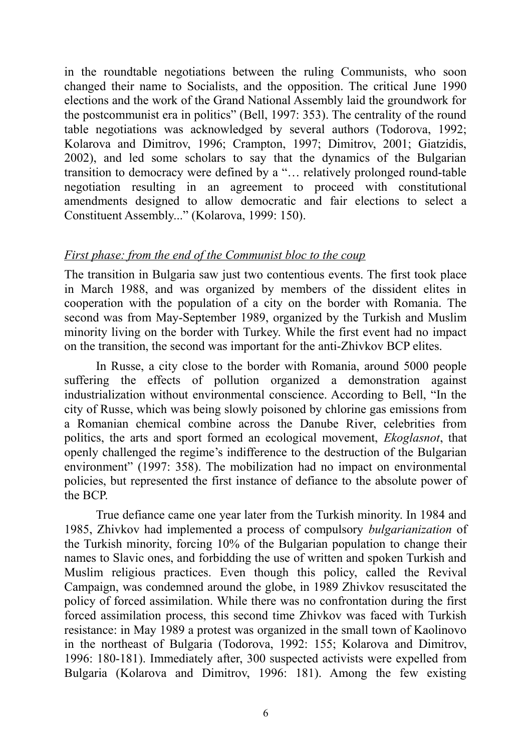in the roundtable negotiations between the ruling Communists, who soon changed their name to Socialists, and the opposition. The critical June 1990 elections and the work of the Grand National Assembly laid the groundwork for the postcommunist era in politics" (Bell, 1997: 353). The centrality of the round table negotiations was acknowledged by several authors (Todorova, 1992; Kolarova and Dimitrov, 1996; Crampton, 1997; Dimitrov, 2001; Giatzidis, 2002), and led some scholars to say that the dynamics of the Bulgarian transition to democracy were defined by a "… relatively prolonged round-table negotiation resulting in an agreement to proceed with constitutional amendments designed to allow democratic and fair elections to select a Constituent Assembly..." (Kolarova, 1999: 150).

#### *First phase: from the end of the Communist bloc to the coup*

The transition in Bulgaria saw just two contentious events. The first took place in March 1988, and was organized by members of the dissident elites in cooperation with the population of a city on the border with Romania. The second was from May-September 1989, organized by the Turkish and Muslim minority living on the border with Turkey. While the first event had no impact on the transition, the second was important for the anti-Zhivkov BCP elites.

In Russe, a city close to the border with Romania, around 5000 people suffering the effects of pollution organized a demonstration against industrialization without environmental conscience. According to Bell, "In the city of Russe, which was being slowly poisoned by chlorine gas emissions from a Romanian chemical combine across the Danube River, celebrities from politics, the arts and sport formed an ecological movement, *Ekoglasnot*, that openly challenged the regime's indifference to the destruction of the Bulgarian environment" (1997: 358). The mobilization had no impact on environmental policies, but represented the first instance of defiance to the absolute power of the BCP.

True defiance came one year later from the Turkish minority. In 1984 and 1985, Zhivkov had implemented a process of compulsory *bulgarianization* of the Turkish minority, forcing 10% of the Bulgarian population to change their names to Slavic ones, and forbidding the use of written and spoken Turkish and Muslim religious practices. Even though this policy, called the Revival Campaign, was condemned around the globe, in 1989 Zhivkov resuscitated the policy of forced assimilation. While there was no confrontation during the first forced assimilation process, this second time Zhivkov was faced with Turkish resistance: in May 1989 a protest was organized in the small town of Kaolinovo in the northeast of Bulgaria (Todorova, 1992: 155; Kolarova and Dimitrov, 1996: 180-181). Immediately after, 300 suspected activists were expelled from Bulgaria (Kolarova and Dimitrov, 1996: 181). Among the few existing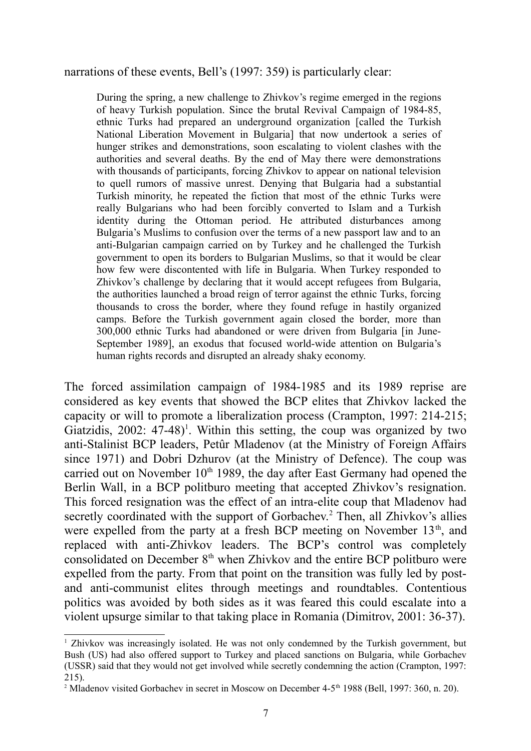#### narrations of these events, Bell's (1997: 359) is particularly clear:

During the spring, a new challenge to Zhivkov's regime emerged in the regions of heavy Turkish population. Since the brutal Revival Campaign of 1984-85, ethnic Turks had prepared an underground organization [called the Turkish National Liberation Movement in Bulgaria] that now undertook a series of hunger strikes and demonstrations, soon escalating to violent clashes with the authorities and several deaths. By the end of May there were demonstrations with thousands of participants, forcing Zhivkov to appear on national television to quell rumors of massive unrest. Denying that Bulgaria had a substantial Turkish minority, he repeated the fiction that most of the ethnic Turks were really Bulgarians who had been forcibly converted to Islam and a Turkish identity during the Ottoman period. He attributed disturbances among Bulgaria's Muslims to confusion over the terms of a new passport law and to an anti-Bulgarian campaign carried on by Turkey and he challenged the Turkish government to open its borders to Bulgarian Muslims, so that it would be clear how few were discontented with life in Bulgaria. When Turkey responded to Zhivkov's challenge by declaring that it would accept refugees from Bulgaria, the authorities launched a broad reign of terror against the ethnic Turks, forcing thousands to cross the border, where they found refuge in hastily organized camps. Before the Turkish government again closed the border, more than 300,000 ethnic Turks had abandoned or were driven from Bulgaria [in June-September 1989], an exodus that focused world-wide attention on Bulgaria's human rights records and disrupted an already shaky economy.

The forced assimilation campaign of 1984-1985 and its 1989 reprise are considered as key events that showed the BCP elites that Zhivkov lacked the capacity or will to promote a liberalization process (Crampton, 1997: 214-215; Giatzidis,  $2002$ :  $47-48$ <sup> $)$ </sup>. Within this setting, the coup was organized by two anti-Stalinist BCP leaders, Petûr Mladenov (at the Ministry of Foreign Affairs since 1971) and Dobri Dzhurov (at the Ministry of Defence). The coup was carried out on November  $10<sup>th</sup>$  1989, the day after East Germany had opened the Berlin Wall, in a BCP politburo meeting that accepted Zhivkov's resignation. This forced resignation was the effect of an intra-elite coup that Mladenov had secretly coordinated with the support of Gorbachev.<sup>[2](#page-6-1)</sup> Then, all Zhivkov's allies were expelled from the party at a fresh BCP meeting on November 13<sup>th</sup>, and replaced with anti-Zhivkov leaders. The BCP's control was completely consolidated on December  $8<sup>th</sup>$  when Zhivkov and the entire BCP politburo were expelled from the party. From that point on the transition was fully led by postand anti-communist elites through meetings and roundtables. Contentious politics was avoided by both sides as it was feared this could escalate into a violent upsurge similar to that taking place in Romania (Dimitrov, 2001: 36-37).

<span id="page-6-0"></span><sup>&</sup>lt;sup>1</sup> Zhivkov was increasingly isolated. He was not only condemned by the Turkish government, but Bush (US) had also offered support to Turkey and placed sanctions on Bulgaria, while Gorbachev (USSR) said that they would not get involved while secretly condemning the action (Crampton, 1997: 215).

<span id="page-6-1"></span><sup>&</sup>lt;sup>2</sup> Mladenov visited Gorbachev in secret in Moscow on December 4-5<sup>th</sup> 1988 (Bell, 1997: 360, n. 20).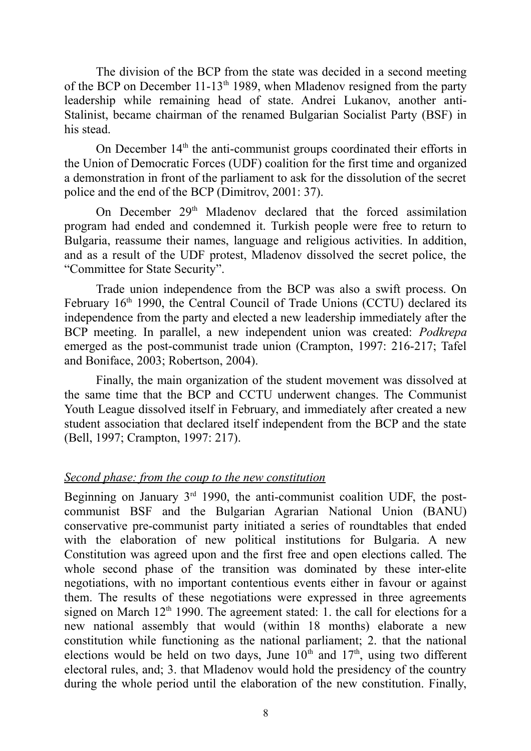The division of the BCP from the state was decided in a second meeting of the BCP on December  $11-13<sup>th</sup> 1989$ , when Mladenov resigned from the party leadership while remaining head of state. Andrei Lukanov, another anti-Stalinist, became chairman of the renamed Bulgarian Socialist Party (BSF) in his stead.

On December  $14<sup>th</sup>$  the anti-communist groups coordinated their efforts in the Union of Democratic Forces (UDF) coalition for the first time and organized a demonstration in front of the parliament to ask for the dissolution of the secret police and the end of the BCP (Dimitrov, 2001: 37).

On December 29<sup>th</sup> Mladenov declared that the forced assimilation program had ended and condemned it. Turkish people were free to return to Bulgaria, reassume their names, language and religious activities. In addition, and as a result of the UDF protest, Mladenov dissolved the secret police, the "Committee for State Security".

Trade union independence from the BCP was also a swift process. On February 16<sup>th</sup> 1990, the Central Council of Trade Unions (CCTU) declared its independence from the party and elected a new leadership immediately after the BCP meeting. In parallel, a new independent union was created: *Podkrepa* emerged as the post-communist trade union (Crampton, 1997: 216-217; Tafel and Boniface, 2003; Robertson, 2004).

Finally, the main organization of the student movement was dissolved at the same time that the BCP and CCTU underwent changes. The Communist Youth League dissolved itself in February, and immediately after created a new student association that declared itself independent from the BCP and the state (Bell, 1997; Crampton, 1997: 217).

#### *Second phase: from the coup to the new constitution*

Beginning on January  $3<sup>rd</sup>$  1990, the anti-communist coalition UDF, the postcommunist BSF and the Bulgarian Agrarian National Union (BANU) conservative pre-communist party initiated a series of roundtables that ended with the elaboration of new political institutions for Bulgaria. A new Constitution was agreed upon and the first free and open elections called. The whole second phase of the transition was dominated by these inter-elite negotiations, with no important contentious events either in favour or against them. The results of these negotiations were expressed in three agreements signed on March  $12<sup>th</sup>$  1990. The agreement stated: 1. the call for elections for a new national assembly that would (within 18 months) elaborate a new constitution while functioning as the national parliament; 2. that the national elections would be held on two days, June  $10<sup>th</sup>$  and  $17<sup>th</sup>$ , using two different electoral rules, and; 3. that Mladenov would hold the presidency of the country during the whole period until the elaboration of the new constitution. Finally,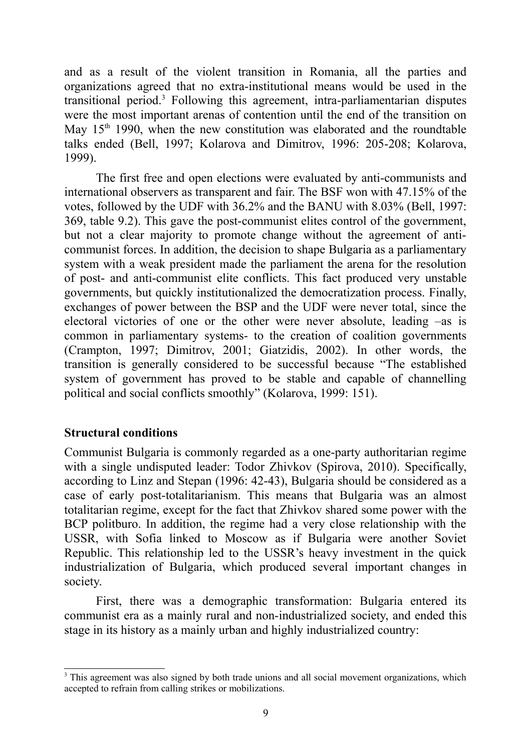and as a result of the violent transition in Romania, all the parties and organizations agreed that no extra-institutional means would be used in the transitional period.<sup>[3](#page-8-0)</sup> Following this agreement, intra-parliamentarian disputes were the most important arenas of contention until the end of the transition on May  $15<sup>th</sup>$  1990, when the new constitution was elaborated and the roundtable talks ended (Bell, 1997; Kolarova and Dimitrov, 1996: 205-208; Kolarova, 1999).

The first free and open elections were evaluated by anti-communists and international observers as transparent and fair. The BSF won with 47.15% of the votes, followed by the UDF with 36.2% and the BANU with 8.03% (Bell, 1997: 369, table 9.2). This gave the post-communist elites control of the government, but not a clear majority to promote change without the agreement of anticommunist forces. In addition, the decision to shape Bulgaria as a parliamentary system with a weak president made the parliament the arena for the resolution of post- and anti-communist elite conflicts. This fact produced very unstable governments, but quickly institutionalized the democratization process. Finally, exchanges of power between the BSP and the UDF were never total, since the electoral victories of one or the other were never absolute, leading –as is common in parliamentary systems- to the creation of coalition governments (Crampton, 1997; Dimitrov, 2001; Giatzidis, 2002). In other words, the transition is generally considered to be successful because "The established system of government has proved to be stable and capable of channelling political and social conflicts smoothly" (Kolarova, 1999: 151).

#### **Structural conditions**

Communist Bulgaria is commonly regarded as a one-party authoritarian regime with a single undisputed leader: Todor Zhivkov (Spirova, 2010). Specifically, according to Linz and Stepan (1996: 42-43), Bulgaria should be considered as a case of early post-totalitarianism. This means that Bulgaria was an almost totalitarian regime, except for the fact that Zhivkov shared some power with the BCP politburo. In addition, the regime had a very close relationship with the USSR, with Sofia linked to Moscow as if Bulgaria were another Soviet Republic. This relationship led to the USSR's heavy investment in the quick industrialization of Bulgaria, which produced several important changes in society.

First, there was a demographic transformation: Bulgaria entered its communist era as a mainly rural and non-industrialized society, and ended this stage in its history as a mainly urban and highly industrialized country:

<span id="page-8-0"></span><sup>&</sup>lt;sup>3</sup> This agreement was also signed by both trade unions and all social movement organizations, which accepted to refrain from calling strikes or mobilizations.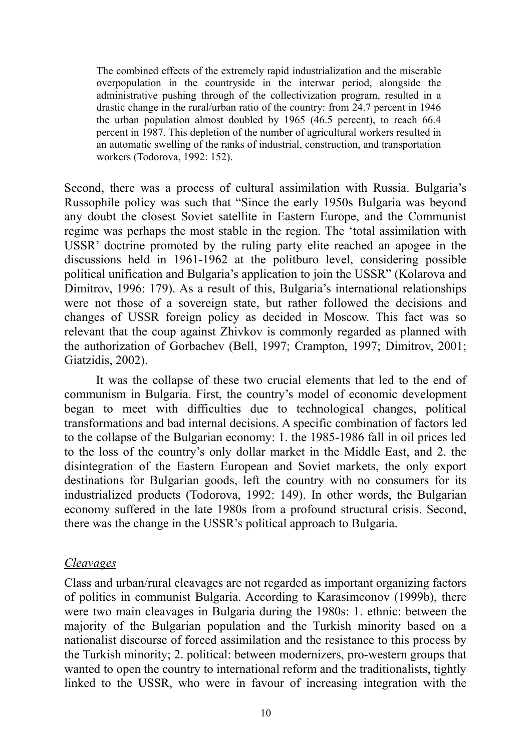The combined effects of the extremely rapid industrialization and the miserable overpopulation in the countryside in the interwar period, alongside the administrative pushing through of the collectivization program, resulted in a drastic change in the rural/urban ratio of the country: from 24.7 percent in 1946 the urban population almost doubled by 1965 (46.5 percent), to reach 66.4 percent in 1987. This depletion of the number of agricultural workers resulted in an automatic swelling of the ranks of industrial, construction, and transportation workers (Todorova, 1992: 152).

Second, there was a process of cultural assimilation with Russia. Bulgaria's Russophile policy was such that "Since the early 1950s Bulgaria was beyond any doubt the closest Soviet satellite in Eastern Europe, and the Communist regime was perhaps the most stable in the region. The 'total assimilation with USSR' doctrine promoted by the ruling party elite reached an apogee in the discussions held in 1961-1962 at the politburo level, considering possible political unification and Bulgaria's application to join the USSR" (Kolarova and Dimitrov, 1996: 179). As a result of this, Bulgaria's international relationships were not those of a sovereign state, but rather followed the decisions and changes of USSR foreign policy as decided in Moscow. This fact was so relevant that the coup against Zhivkov is commonly regarded as planned with the authorization of Gorbachev (Bell, 1997; Crampton, 1997; Dimitrov, 2001; Giatzidis, 2002).

It was the collapse of these two crucial elements that led to the end of communism in Bulgaria. First, the country's model of economic development began to meet with difficulties due to technological changes, political transformations and bad internal decisions. A specific combination of factors led to the collapse of the Bulgarian economy: 1. the 1985-1986 fall in oil prices led to the loss of the country's only dollar market in the Middle East, and 2. the disintegration of the Eastern European and Soviet markets, the only export destinations for Bulgarian goods, left the country with no consumers for its industrialized products (Todorova, 1992: 149). In other words, the Bulgarian economy suffered in the late 1980s from a profound structural crisis. Second, there was the change in the USSR's political approach to Bulgaria.

#### *Cleavages*

Class and urban/rural cleavages are not regarded as important organizing factors of politics in communist Bulgaria. According to Karasimeonov (1999b), there were two main cleavages in Bulgaria during the 1980s: 1. ethnic: between the majority of the Bulgarian population and the Turkish minority based on a nationalist discourse of forced assimilation and the resistance to this process by the Turkish minority; 2. political: between modernizers, pro-western groups that wanted to open the country to international reform and the traditionalists, tightly linked to the USSR, who were in favour of increasing integration with the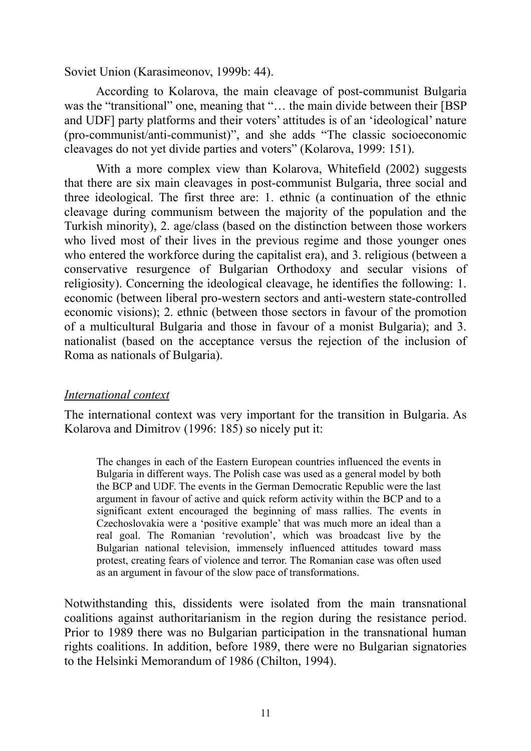Soviet Union (Karasimeonov, 1999b: 44).

According to Kolarova, the main cleavage of post-communist Bulgaria was the "transitional" one, meaning that "... the main divide between their [BSP] and UDF] party platforms and their voters' attitudes is of an 'ideological' nature (pro-communist/anti-communist)", and she adds "The classic socioeconomic cleavages do not yet divide parties and voters" (Kolarova, 1999: 151).

With a more complex view than Kolarova, Whitefield (2002) suggests that there are six main cleavages in post-communist Bulgaria, three social and three ideological. The first three are: 1. ethnic (a continuation of the ethnic cleavage during communism between the majority of the population and the Turkish minority), 2. age/class (based on the distinction between those workers who lived most of their lives in the previous regime and those younger ones who entered the workforce during the capitalist era), and 3. religious (between a conservative resurgence of Bulgarian Orthodoxy and secular visions of religiosity). Concerning the ideological cleavage, he identifies the following: 1. economic (between liberal pro-western sectors and anti-western state-controlled economic visions); 2. ethnic (between those sectors in favour of the promotion of a multicultural Bulgaria and those in favour of a monist Bulgaria); and 3. nationalist (based on the acceptance versus the rejection of the inclusion of Roma as nationals of Bulgaria).

#### *International context*

The international context was very important for the transition in Bulgaria. As Kolarova and Dimitrov (1996: 185) so nicely put it:

The changes in each of the Eastern European countries influenced the events in Bulgaria in different ways. The Polish case was used as a general model by both the BCP and UDF. The events in the German Democratic Republic were the last argument in favour of active and quick reform activity within the BCP and to a significant extent encouraged the beginning of mass rallies. The events in Czechoslovakia were a 'positive example' that was much more an ideal than a real goal. The Romanian 'revolution', which was broadcast live by the Bulgarian national television, immensely influenced attitudes toward mass protest, creating fears of violence and terror. The Romanian case was often used as an argument in favour of the slow pace of transformations.

Notwithstanding this, dissidents were isolated from the main transnational coalitions against authoritarianism in the region during the resistance period. Prior to 1989 there was no Bulgarian participation in the transnational human rights coalitions. In addition, before 1989, there were no Bulgarian signatories to the Helsinki Memorandum of 1986 (Chilton, 1994).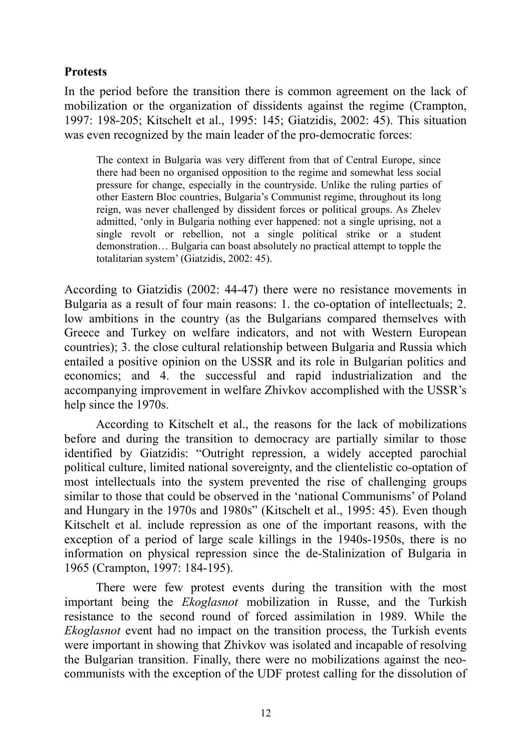#### **Protests**

In the period before the transition there is common agreement on the lack of mobilization or the organization of dissidents against the regime (Crampton, 1997: 198-205; Kitschelt et al., 1995: 145; Giatzidis, 2002: 45). This situation was even recognized by the main leader of the pro-democratic forces:

The context in Bulgaria was very different from that of Central Europe, since there had been no organised opposition to the regime and somewhat less social pressure for change, especially in the countryside. Unlike the ruling parties of other Eastern Bloc countries, Bulgaria's Communist regime, throughout its long reign, was never challenged by dissident forces or political groups. As Zhelev admitted, 'only in Bulgaria nothing ever happened: not a single uprising, not a single revolt or rebellion, not a single political strike or a student demonstration… Bulgaria can boast absolutely no practical attempt to topple the totalitarian system' (Giatzidis, 2002: 45).

According to Giatzidis (2002: 44-47) there were no resistance movements in Bulgaria as a result of four main reasons: 1. the co-optation of intellectuals; 2. low ambitions in the country (as the Bulgarians compared themselves with Greece and Turkey on welfare indicators, and not with Western European countries); 3. the close cultural relationship between Bulgaria and Russia which entailed a positive opinion on the USSR and its role in Bulgarian politics and economics; and 4. the successful and rapid industrialization and the accompanying improvement in welfare Zhivkov accomplished with the USSR's help since the 1970s.

According to Kitschelt et al., the reasons for the lack of mobilizations before and during the transition to democracy are partially similar to those identified by Giatzidis: "Outright repression, a widely accepted parochial political culture, limited national sovereignty, and the clientelistic co-optation of most intellectuals into the system prevented the rise of challenging groups similar to those that could be observed in the 'national Communisms' of Poland and Hungary in the 1970s and 1980s" (Kitschelt et al., 1995: 45). Even though Kitschelt et al. include repression as one of the important reasons, with the exception of a period of large scale killings in the 1940s-1950s, there is no information on physical repression since the de-Stalinization of Bulgaria in 1965 (Crampton, 1997: 184-195).

There were few protest events during the transition with the most important being the *Ekoglasnot* mobilization in Russe, and the Turkish resistance to the second round of forced assimilation in 1989. While the *Ekoglasnot* event had no impact on the transition process, the Turkish events were important in showing that Zhivkov was isolated and incapable of resolving the Bulgarian transition. Finally, there were no mobilizations against the neocommunists with the exception of the UDF protest calling for the dissolution of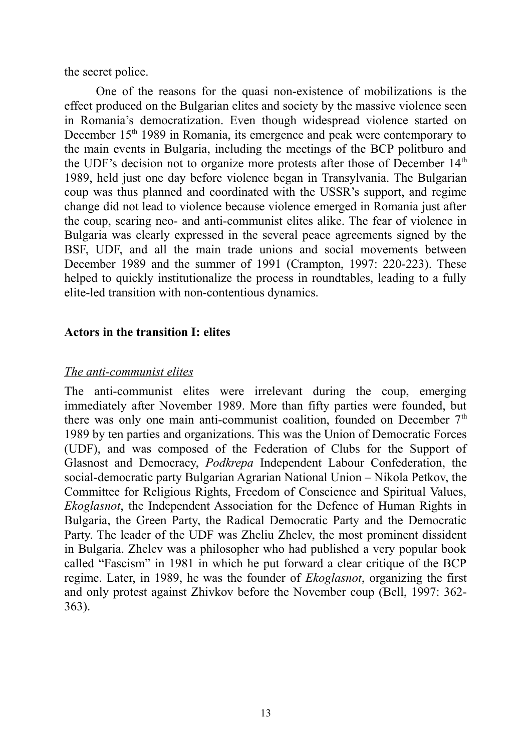the secret police.

One of the reasons for the quasi non-existence of mobilizations is the effect produced on the Bulgarian elites and society by the massive violence seen in Romania's democratization. Even though widespread violence started on December 15<sup>th</sup> 1989 in Romania, its emergence and peak were contemporary to the main events in Bulgaria, including the meetings of the BCP politburo and the UDF's decision not to organize more protests after those of December 14<sup>th</sup> 1989, held just one day before violence began in Transylvania. The Bulgarian coup was thus planned and coordinated with the USSR's support, and regime change did not lead to violence because violence emerged in Romania just after the coup, scaring neo- and anti-communist elites alike. The fear of violence in Bulgaria was clearly expressed in the several peace agreements signed by the BSF, UDF, and all the main trade unions and social movements between December 1989 and the summer of 1991 (Crampton, 1997: 220-223). These helped to quickly institutionalize the process in roundtables, leading to a fully elite-led transition with non-contentious dynamics.

#### **Actors in the transition I: elites**

#### *The anti-communist elites*

The anti-communist elites were irrelevant during the coup, emerging immediately after November 1989. More than fifty parties were founded, but there was only one main anti-communist coalition, founded on December  $7<sup>th</sup>$ 1989 by ten parties and organizations. This was the Union of Democratic Forces (UDF), and was composed of the Federation of Clubs for the Support of Glasnost and Democracy, *Podkrepa* Independent Labour Confederation, the social-democratic party Bulgarian Agrarian National Union – Nikola Petkov, the Committee for Religious Rights, Freedom of Conscience and Spiritual Values, *Ekoglasnot*, the Independent Association for the Defence of Human Rights in Bulgaria, the Green Party, the Radical Democratic Party and the Democratic Party. The leader of the UDF was Zheliu Zhelev, the most prominent dissident in Bulgaria. Zhelev was a philosopher who had published a very popular book called "Fascism" in 1981 in which he put forward a clear critique of the BCP regime. Later, in 1989, he was the founder of *Ekoglasnot*, organizing the first and only protest against Zhivkov before the November coup (Bell, 1997: 362- 363).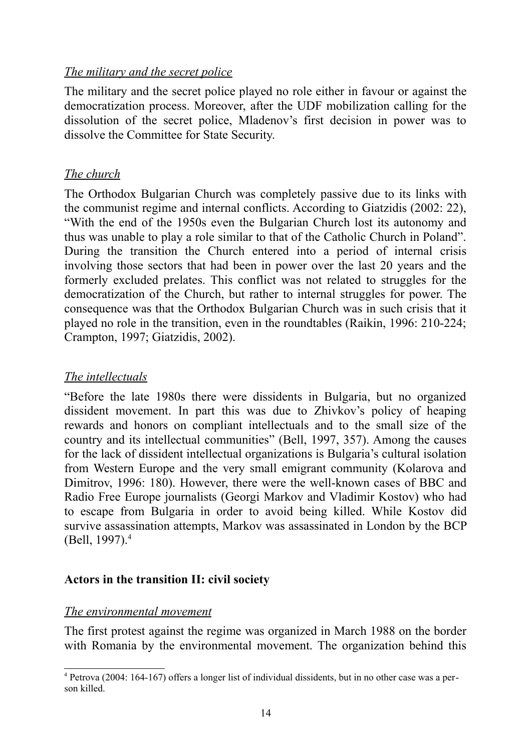#### *The military and the secret police*

The military and the secret police played no role either in favour or against the democratization process. Moreover, after the UDF mobilization calling for the dissolution of the secret police, Mladenov's first decision in power was to dissolve the Committee for State Security.

#### *The church*

The Orthodox Bulgarian Church was completely passive due to its links with the communist regime and internal conflicts. According to Giatzidis (2002: 22), "With the end of the 1950s even the Bulgarian Church lost its autonomy and thus was unable to play a role similar to that of the Catholic Church in Poland". During the transition the Church entered into a period of internal crisis involving those sectors that had been in power over the last 20 years and the formerly excluded prelates. This conflict was not related to struggles for the democratization of the Church, but rather to internal struggles for power. The consequence was that the Orthodox Bulgarian Church was in such crisis that it played no role in the transition, even in the roundtables (Raikin, 1996: 210-224; Crampton, 1997; Giatzidis, 2002).

#### *The intellectuals*

"Before the late 1980s there were dissidents in Bulgaria, but no organized dissident movement. In part this was due to Zhivkov's policy of heaping rewards and honors on compliant intellectuals and to the small size of the country and its intellectual communities" (Bell, 1997, 357). Among the causes for the lack of dissident intellectual organizations is Bulgaria's cultural isolation from Western Europe and the very small emigrant community (Kolarova and Dimitrov, 1996: 180). However, there were the well-known cases of BBC and Radio Free Europe journalists (Georgi Markov and Vladimir Kostov) who had to escape from Bulgaria in order to avoid being killed. While Kostov did survive assassination attempts, Markov was assassinated in London by the BCP (Bell, 1997).[4](#page-13-0)

#### **Actors in the transition II: civil society**

#### *The environmental movement*

The first protest against the regime was organized in March 1988 on the border with Romania by the environmental movement. The organization behind this

<span id="page-13-0"></span><sup>4</sup> Petrova (2004: 164-167) offers a longer list of individual dissidents, but in no other case was a person killed.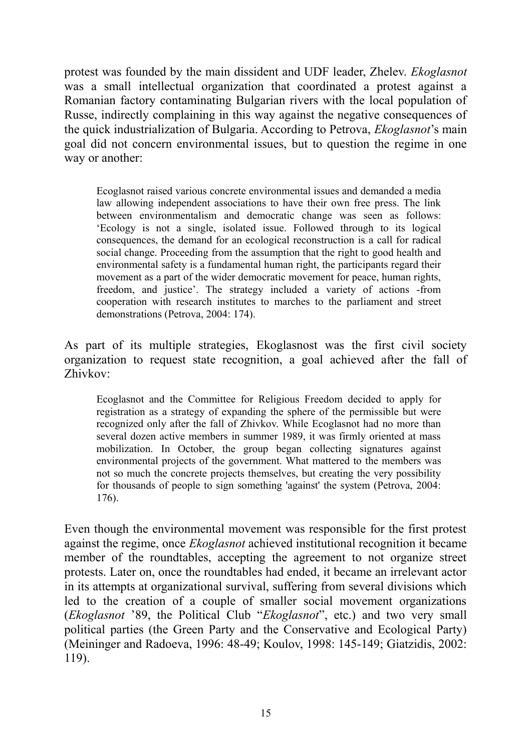protest was founded by the main dissident and UDF leader, Zhelev. *Ekoglasnot* was a small intellectual organization that coordinated a protest against a Romanian factory contaminating Bulgarian rivers with the local population of Russe, indirectly complaining in this way against the negative consequences of the quick industrialization of Bulgaria. According to Petrova, *Ekoglasnot*'s main goal did not concern environmental issues, but to question the regime in one way or another:

Ecoglasnot raised various concrete environmental issues and demanded a media law allowing independent associations to have their own free press. The link between environmentalism and democratic change was seen as follows: 'Ecology is not a single, isolated issue. Followed through to its logical consequences, the demand for an ecological reconstruction is a call for radical social change. Proceeding from the assumption that the right to good health and environmental safety is a fundamental human right, the participants regard their movement as a part of the wider democratic movement for peace, human rights, freedom, and justice'. The strategy included a variety of actions -from cooperation with research institutes to marches to the parliament and street demonstrations (Petrova, 2004: 174).

As part of its multiple strategies, Ekoglasnost was the first civil society organization to request state recognition, a goal achieved after the fall of Zhivkov:

Ecoglasnot and the Committee for Religious Freedom decided to apply for registration as a strategy of expanding the sphere of the permissible but were recognized only after the fall of Zhivkov. While Ecoglasnot had no more than several dozen active members in summer 1989, it was firmly oriented at mass mobilization. In October, the group began collecting signatures against environmental projects of the government. What mattered to the members was not so much the concrete projects themselves, but creating the very possibility for thousands of people to sign something 'against' the system (Petrova, 2004: 176).

Even though the environmental movement was responsible for the first protest against the regime, once *Ekoglasnot* achieved institutional recognition it became member of the roundtables, accepting the agreement to not organize street protests. Later on, once the roundtables had ended, it became an irrelevant actor in its attempts at organizational survival, suffering from several divisions which led to the creation of a couple of smaller social movement organizations (*Ekoglasnot* '89, the Political Club "*Ekoglasnot*", etc.) and two very small political parties (the Green Party and the Conservative and Ecological Party) (Meininger and Radoeva, 1996: 48-49; Koulov, 1998: 145-149; Giatzidis, 2002: 119).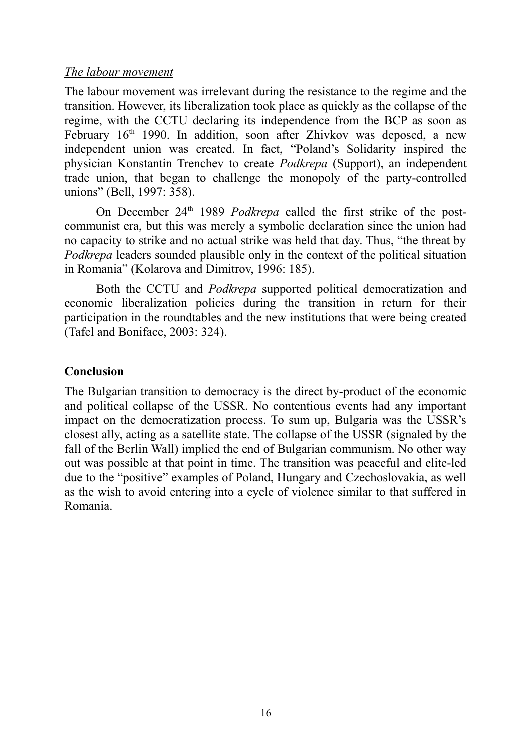#### *The l abour movement*

The labour movement was irrelevant during the resistance to the regime and the transition. However, its liberalization took place as quickly as the collapse of the regime, with the CCTU declaring its independence from the BCP as soon as February  $16<sup>th</sup>$  1990. In addition, soon after Zhivkov was deposed, a new independent union was created. In fact, "Poland's Solidarity inspired the physician Konstantin Trenchev to create *Podkrepa* (Support), an independent trade union, that began to challenge the monopoly of the party-controlled unions" (Bell, 1997: 358).

On December 24<sup>th</sup> 1989 *Podkrepa* called the first strike of the postcommunist era, but this was merely a symbolic declaration since the union had no capacity to strike and no actual strike was held that day. Thus, "the threat by *Podkrepa* leaders sounded plausible only in the context of the political situation in Romania" (Kolarova and Dimitrov, 1996: 185).

Both the CCTU and *Podkrepa* supported political democratization and economic liberalization policies during the transition in return for their participation in the roundtables and the new institutions that were being created (Tafel and Boniface, 2003: 324).

#### **Conclusion**

The Bulgarian transition to democracy is the direct by-product of the economic and political collapse of the USSR. No contentious events had any important impact on the democratization process. To sum up, Bulgaria was the USSR's closest ally, acting as a satellite state. The collapse of the USSR (signaled by the fall of the Berlin Wall) implied the end of Bulgarian communism. No other way out was possible at that point in time. The transition was peaceful and elite-led due to the "positive" examples of Poland, Hungary and Czechoslovakia, as well as the wish to avoid entering into a cycle of violence similar to that suffered in Romania.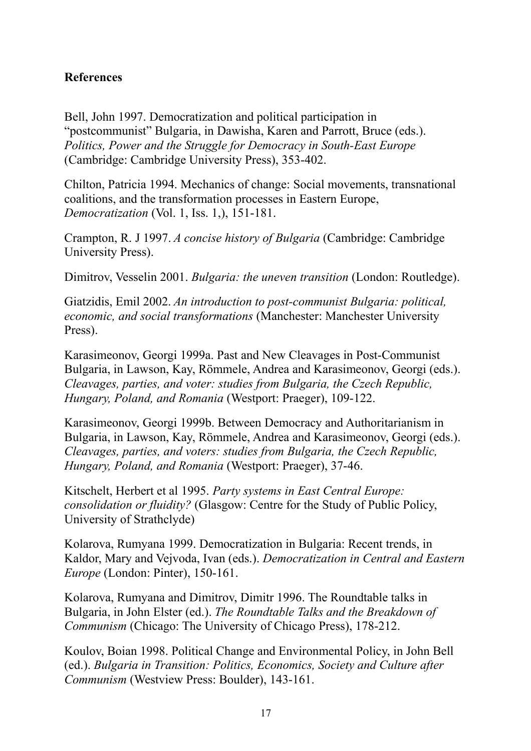#### **References**

Bell, John 1997. Democratization and political participation in "postcommunist" Bulgaria, in Dawisha, Karen and Parrott, Bruce (eds.). *Politics, Power and the Struggle for Democracy in South-East Europe* (Cambridge: Cambridge University Press), 353-402.

Chilton, Patricia 1994. Mechanics of change: Social movements, transnational coalitions, and the transformation processes in Eastern Europe, *Democratization* (Vol. 1, Iss. 1,), 151-181.

Crampton, R. J 1997. *A concise history of Bulgaria* (Cambridge: Cambridge University Press).

Dimitrov, Vesselin 2001. *Bulgaria: the uneven transition* (London: Routledge).

Giatzidis, Emil 2002. *An introduction to post-communist Bulgaria: political, economic, and social transformations* (Manchester: Manchester University Press).

Karasimeonov, Georgi 1999a. Past and New Cleavages in Post-Communist Bulgaria, in Lawson, Kay, Römmele, Andrea and Karasimeonov, Georgi (eds.). *Cleavages, parties, and voter: studies from Bulgaria, the Czech Republic, Hungary, Poland, and Romania* (Westport: Praeger), 109-122.

Karasimeonov, Georgi 1999b. Between Democracy and Authoritarianism in Bulgaria, in Lawson, Kay, Römmele, Andrea and Karasimeonov, Georgi (eds.). *Cleavages, parties, and voters: studies from Bulgaria, the Czech Republic, Hungary, Poland, and Romania* (Westport: Praeger), 37-46.

Kitschelt, Herbert et al 1995. *Party systems in East Central Europe: consolidation or fluidity?* (Glasgow: Centre for the Study of Public Policy, University of Strathclyde)

Kolarova, Rumyana 1999. Democratization in Bulgaria: Recent trends, in Kaldor, Mary and Vejvoda, Ivan (eds.). *Democratization in Central and Eastern Europe* (London: Pinter), 150-161.

Kolarova, Rumyana and Dimitrov, Dimitr 1996. The Roundtable talks in Bulgaria, in John Elster (ed.). *The Roundtable Talks and the Breakdown of Communism* (Chicago: The University of Chicago Press), 178-212.

Koulov, Boian 1998. Political Change and Environmental Policy, in John Bell (ed.). *Bulgaria in Transition: Politics, Economics, Society and Culture after Communism* (Westview Press: Boulder), 143-161.